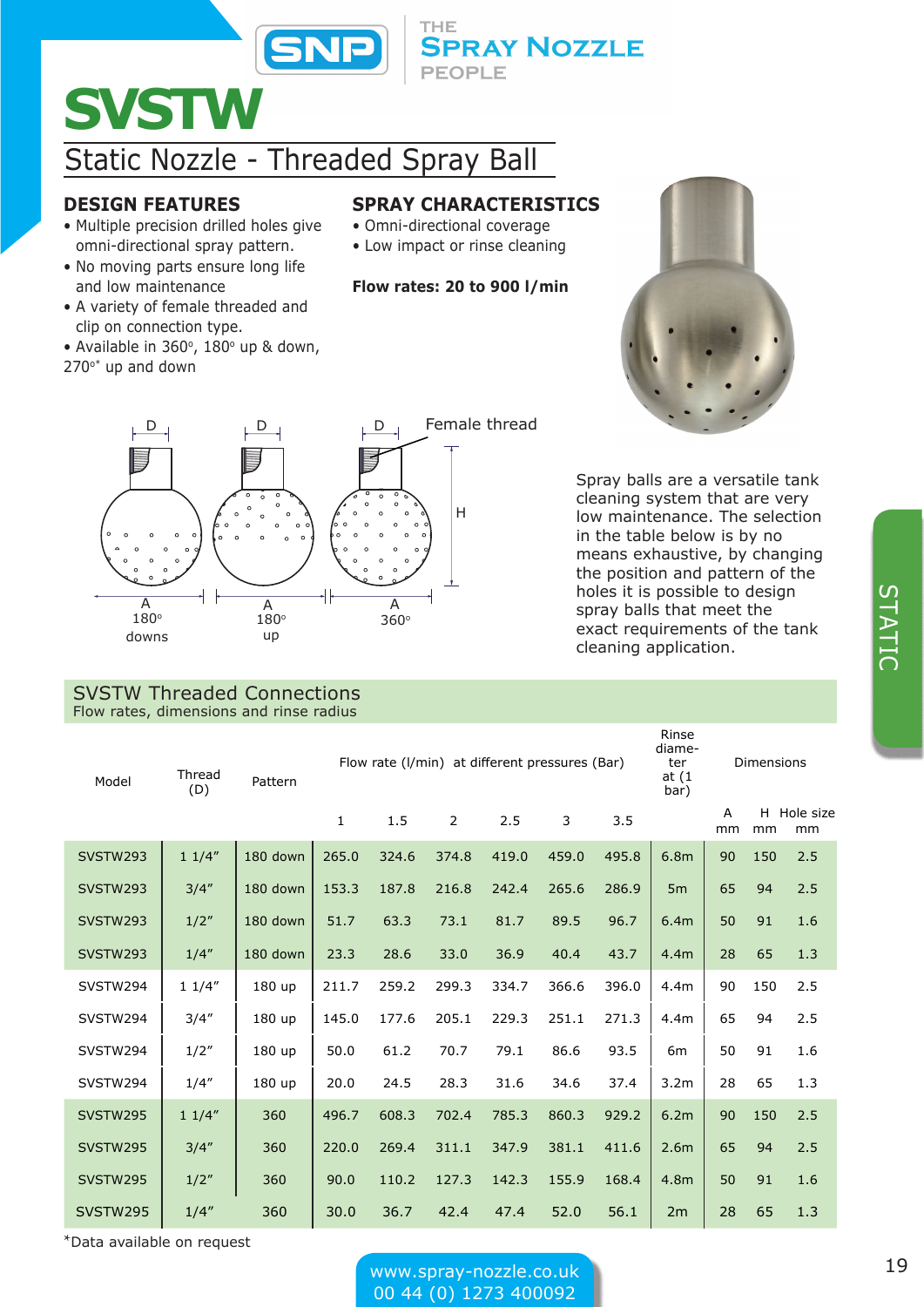

# **SVSTW**

# Static Nozzle - Threaded Spray Ball

### **DESIGN FEATURES** • Multiple precision drilled holes give

and low maintenance

 $270°$ \* up and down

clip on connection type.

omni-directional spray pattern. • No moving parts ensure long life

• A variety of female threaded and

• Available in  $360^\circ$ ,  $180^\circ$  up & down,

## **SPRAY CHARACTERISTICS**

**SPRAY NOZZLE** 

• Omni-directional coverage

THE

PEOPLE

• Low impact or rinse cleaning

### **Flow rates: 20 to 900 l/min**



Spray balls are a versatile tank cleaning system that are very low maintenance. The selection in the table below is by no means exhaustive, by changing the position and pattern of the holes it is possible to design spray balls that meet the exact requirements of the tank

cleaning application.



#### SVSTW Threaded Connections Flow rates, dimensions and rinse radius

Model Thread<br>(D) Pattern Flow rate (l/min) at different pressures (Bar) Rinse diameter at (1 bar) Dimensions 1 1.5 2 2.5 3 3.5 A mm H Hole size mm mm SVSTW293 | 1 1/4″ |180 down | 265.0 324.6 374.8 419.0 459.0 495.8 | 6.8m | 90 150 2.5 SVSTW293 | 3/4″ |180 down | 153.3 187.8 216.8 242.4 265.6 286.9 | 5m | 65 94 2.5 SVSTW293 | 1/2″ |180 down | 51.7 63.3 73.1 81.7 89.5 96.7 | 6.4m | 50 91 1.6 SVSTW293 1/4" 180 down 23.3 28.6 33.0 36.9 40.4 43.7 4.4m 28 65 1.3 SVSTW294 | 1 1/4″ | 180 up | 211.7 259.2 299.3 334.7 366.6 396.0 | 4.4m | 90 150 2.5 SVSTW294 | 3/4″ | 180 up | 145.0 177.6 205.1 229.3 251.1 271.3 | 4.4m | 65 94 2.5 SVSTW294 | 1/2" | 180 up | 50.0 61.2 70.7 79.1 86.6 93.5 | 6m | 50 91 1.6 SVSTW294 | 1/4″ | 180 up | 20.0 24.5 28.3 31.6 34.6 37.4 | 3.2m | 28 65 1.3 SVSTW295 | 1 1/4″ | 360 | 496.7 608.3 702.4 785.3 860.3 929.2 | 6.2m | 90 150 2.5 SVSTW295 | 3/4" | 360 |220.0 269.4 311.1 347.9 381.1 411.6 |2.6m | 65 94 2.5 SVSTW295 | 1/2" | 360 | 90.0 110.2 127.3 142.3 155.9 168.4 |4.8m | 50 91 1.6 SVSTW295 | 1/4" 360 | 30.0 36.7 42.4 47.4 52.0 56.1 | 2m | 28 65 1.3

STATIC STATIC

\*Data available on request

www.spray-nozzle.co.uk 19 00 44 (0) 1273 400092